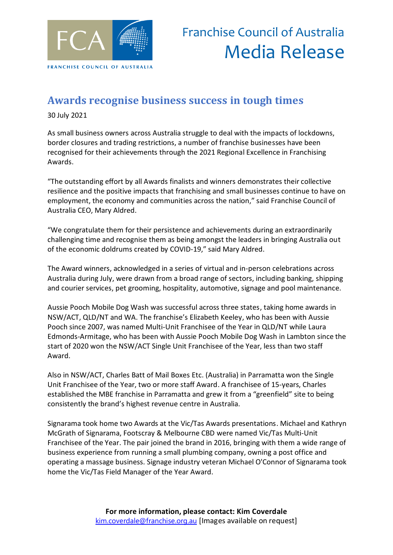

### **Awards recognise business success in tough times**

30 July 2021

As small business owners across Australia struggle to deal with the impacts of lockdowns, border closures and trading restrictions, a number of franchise businesses have been recognised for their achievements through the 2021 Regional Excellence in Franchising Awards.

"The outstanding effort by all Awards finalists and winners demonstrates their collective resilience and the positive impacts that franchising and small businesses continue to have on employment, the economy and communities across the nation," said Franchise Council of Australia CEO, Mary Aldred.

"We congratulate them for their persistence and achievements during an extraordinarily challenging time and recognise them as being amongst the leaders in bringing Australia out of the economic doldrums created by COVID-19," said Mary Aldred.

The Award winners, acknowledged in a series of virtual and in-person celebrations across Australia during July, were drawn from a broad range of sectors, including banking, shipping and courier services, pet grooming, hospitality, automotive, signage and pool maintenance.

Aussie Pooch Mobile Dog Wash was successful across three states, taking home awards in NSW/ACT, QLD/NT and WA. The franchise's Elizabeth Keeley, who has been with Aussie Pooch since 2007, was named Multi-Unit Franchisee of the Year in QLD/NT while Laura Edmonds-Armitage, who has been with Aussie Pooch Mobile Dog Wash in Lambton since the start of 2020 won the NSW/ACT Single Unit Franchisee of the Year, less than two staff Award.

Also in NSW/ACT, Charles Batt of Mail Boxes Etc. (Australia) in Parramatta won the Single Unit Franchisee of the Year, two or more staff Award. A franchisee of 15-years, Charles established the MBE franchise in Parramatta and grew it from a "greenfield" site to being consistently the brand's highest revenue centre in Australia.

Signarama took home two Awards at the Vic/Tas Awards presentations. Michael and Kathryn McGrath of Signarama, Footscray & Melbourne CBD were named Vic/Tas Multi-Unit Franchisee of the Year. The pair joined the brand in 2016, bringing with them a wide range of business experience from running a small plumbing company, owning a post office and operating a massage business. Signage industry veteran Michael O'Connor of Signarama took home the Vic/Tas Field Manager of the Year Award.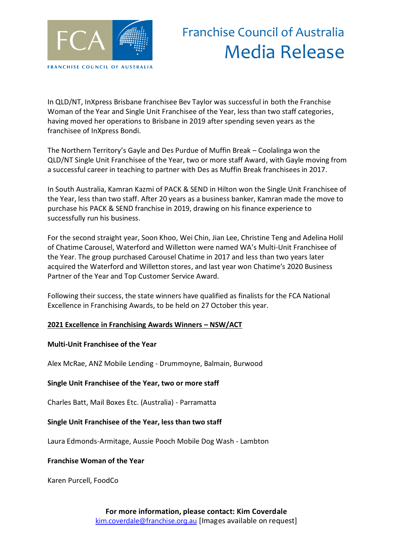

# Franchise Council of Australia Media Release

In QLD/NT, InXpress Brisbane franchisee Bev Taylor was successful in both the Franchise Woman of the Year and Single Unit Franchisee of the Year, less than two staff categories, having moved her operations to Brisbane in 2019 after spending seven years as the franchisee of InXpress Bondi.

The Northern Territory's Gayle and Des Purdue of Muffin Break – Coolalinga won the QLD/NT Single Unit Franchisee of the Year, two or more staff Award, with Gayle moving from a successful career in teaching to partner with Des as Muffin Break franchisees in 2017.

In South Australia, Kamran Kazmi of PACK & SEND in Hilton won the Single Unit Franchisee of the Year, less than two staff. After 20 years as a business banker, Kamran made the move to purchase his PACK & SEND franchise in 2019, drawing on his finance experience to successfully run his business.

For the second straight year, Soon Khoo, Wei Chin, Jian Lee, Christine Teng and Adelina Holil of Chatime Carousel, Waterford and Willetton were named WA's Multi-Unit Franchisee of the Year. The group purchased Carousel Chatime in 2017 and less than two years later acquired the Waterford and Willetton stores, and last year won Chatime's 2020 Business Partner of the Year and Top Customer Service Award.

Following their success, the state winners have qualified as finalists for the FCA National Excellence in Franchising Awards, to be held on 27 October this year.

#### **2021 Excellence in Franchising Awards Winners – NSW/ACT**

#### **Multi-Unit Franchisee of the Year**

Alex McRae, ANZ Mobile Lending - Drummoyne, Balmain, Burwood

#### **Single Unit Franchisee of the Year, two or more staff**

Charles Batt, Mail Boxes Etc. (Australia) - Parramatta

#### **Single Unit Franchisee of the Year, less than two staff**

Laura Edmonds-Armitage, Aussie Pooch Mobile Dog Wash - Lambton

#### **Franchise Woman of the Year**

Karen Purcell, FoodCo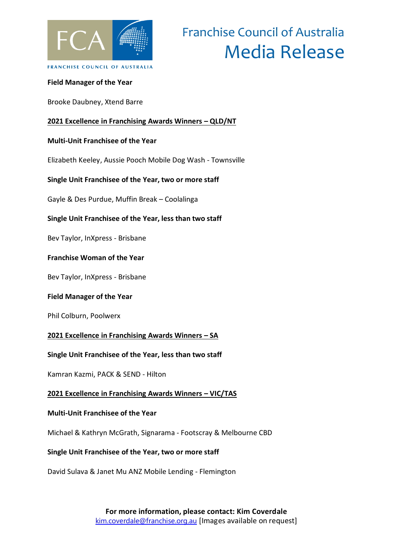

# Franchise Council of Australia Media Release

### **Field Manager of the Year**

Brooke Daubney, Xtend Barre

#### **2021 Excellence in Franchising Awards Winners – QLD/NT**

#### **Multi-Unit Franchisee of the Year**

Elizabeth Keeley, Aussie Pooch Mobile Dog Wash - Townsville

#### **Single Unit Franchisee of the Year, two or more staff**

Gayle & Des Purdue, Muffin Break – Coolalinga

**Single Unit Franchisee of the Year, less than two staff** 

Bev Taylor, InXpress - Brisbane

#### **Franchise Woman of the Year**

Bev Taylor, InXpress - Brisbane

#### **Field Manager of the Year**

Phil Colburn, Poolwerx

#### **2021 Excellence in Franchising Awards Winners – SA**

#### **Single Unit Franchisee of the Year, less than two staff**

Kamran Kazmi, PACK & SEND - Hilton

#### **2021 Excellence in Franchising Awards Winners – VIC/TAS**

#### **Multi-Unit Franchisee of the Year**

Michael & Kathryn McGrath, Signarama - Footscray & Melbourne CBD

#### **Single Unit Franchisee of the Year, two or more staff**

David Sulava & Janet Mu ANZ Mobile Lending - Flemington